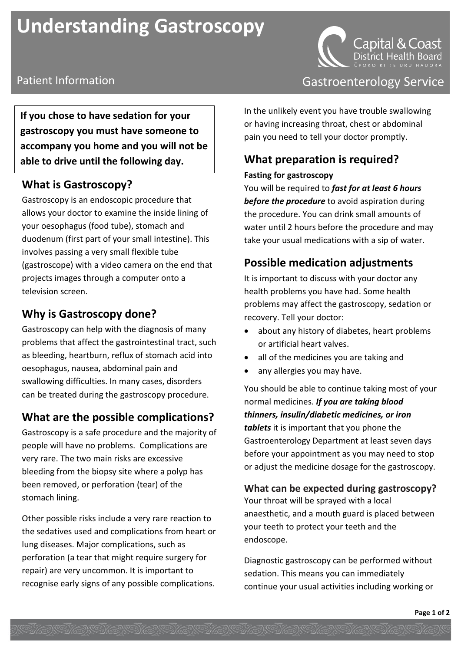# **Understanding Gastroscopy**



**If you chose to have sedation for your gastroscopy you must have someone to accompany you home and you will not be able to drive until the following day.**

### **What is Gastroscopy?**

Gastroscopy is an endoscopic procedure that allows your doctor to examine the inside lining of your oesophagus (food tube), stomach and duodenum (first part of your small intestine). This involves passing a very small flexible tube (gastroscope) with a video camera on the end that projects images through a computer onto a television screen.

## **Why is Gastroscopy done?**

Gastroscopy can help with the diagnosis of many problems that affect the gastrointestinal tract, such as bleeding, heartburn, reflux of stomach acid into oesophagus, nausea, abdominal pain and swallowing difficulties. In many cases, disorders can be treated during the gastroscopy procedure.

## **What are the possible complications?**

Gastroscopy is a safe procedure and the majority of people will have no problems. Complications are very rare. The two main risks are excessive bleeding from the biopsy site where a polyp has been removed, or perforation (tear) of the stomach lining.

Other possible risks include a very rare reaction to the sedatives used and complications from heart or lung diseases. Major complications, such as perforation (a tear that might require surgery for repair) are very uncommon. It is important to recognise early signs of any possible complications.

## Patient Information **Contract Contract Contract Contract Contract Contract Contract Contract Contract Contract Contract Contract Contract Contract Contract Contract Contract Contract Contract Contract Contract Contract Con**

In the unlikely event you have trouble swallowing or having increasing throat, chest or abdominal pain you need to tell your doctor promptly.

## **What preparation is required?**

#### **Fasting for gastroscopy**

You will be required to *fast for at least 6 hours before the procedure* to avoid aspiration during the procedure. You can drink small amounts of water until 2 hours before the procedure and may take your usual medications with a sip of water.

## **Possible medication adjustments**

It is important to discuss with your doctor any health problems you have had. Some health problems may affect the gastroscopy, sedation or recovery. Tell your doctor:

- about any history of diabetes, heart problems or artificial heart valves.
- all of the medicines you are taking and
- any allergies you may have.

You should be able to continue taking most of your normal medicines. *If you are taking blood thinners, insulin/diabetic medicines, or iron tablets* it is important that you phone the Gastroenterology Department at least seven days before your appointment as you may need to stop or adjust the medicine dosage for the gastroscopy.

## **What can be expected during gastroscopy?**

Your throat will be sprayed with a local anaesthetic, and a mouth guard is placed between your teeth to protect your teeth and the endoscope.

Diagnostic gastroscopy can be performed without sedation. This means you can immediately continue your usual activities including working or